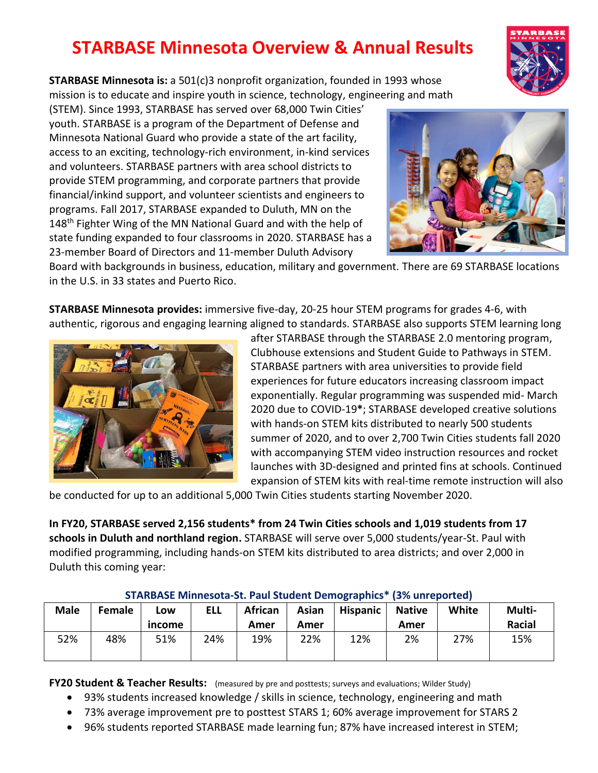## **STARBASE Minnesota Overview & Annual Results**

**STARBASE Minnesota is:** a 501(c)3 nonprofit organization, founded in 1993 whose mission is to educate and inspire youth in science, technology, engineering and math

(STEM). Since 1993, STARBASE has served over 68,000 Twin Cities' youth. STARBASE is a program of the Department of Defense and Minnesota National Guard who provide a state of the art facility, access to an exciting, technology-rich environment, in-kind services and volunteers. STARBASE partners with area school districts to provide STEM programming, and corporate partners that provide financial/inkind support, and volunteer scientists and engineers to programs. Fall 2017, STARBASE expanded to Duluth, MN on the 148<sup>th</sup> Fighter Wing of the MN National Guard and with the help of state funding expanded to four classrooms in 2020. STARBASE has a 23-member Board of Directors and 11-member Duluth Advisory



Board with backgrounds in business, education, military and government. There are 69 STARBASE locations in the U.S. in 33 states and Puerto Rico.

**STARBASE Minnesota provides:** immersive five-day, 20-25 hour STEM programs for grades 4-6, with authentic, rigorous and engaging learning aligned to standards. STARBASE also supports STEM learning long



after STARBASE through the STARBASE 2.0 mentoring program, Clubhouse extensions and Student Guide to Pathways in STEM. STARBASE partners with area universities to provide field experiences for future educators increasing classroom impact exponentially. Regular programming was suspended mid- March 2020 due to COVID-19**\***; STARBASE developed creative solutions with hands-on STEM kits distributed to nearly 500 students summer of 2020, and to over 2,700 Twin Cities students fall 2020 with accompanying STEM video instruction resources and rocket launches with 3D-designed and printed fins at schools. Continued expansion of STEM kits with real-time remote instruction will also

be conducted for up to an additional 5,000 Twin Cities students starting November 2020.

**In FY20, STARBASE served 2,156 students\* from 24 Twin Cities schools and 1,019 students from 17 schools in Duluth and northland region.** STARBASE will serve over 5,000 students/year-St. Paul with modified programming, including hands-on STEM kits distributed to area districts; and over 2,000 in Duluth this coming year:

| <u>STANDASE MINNICSOM SM FUMI SMUCHT DCHIDNIUMING</u><br>1970 GHL CDOI LCGI |        |               |            |                        |               |                 |                       |       |                  |
|-----------------------------------------------------------------------------|--------|---------------|------------|------------------------|---------------|-----------------|-----------------------|-------|------------------|
| <b>Male</b>                                                                 | Female | Low<br>income | <b>ELL</b> | <b>African</b><br>Amer | Asian<br>Amer | <b>Hispanic</b> | <b>Native</b><br>Amer | White | Multi-<br>Racial |
| 52%                                                                         | 48%    | 51%           | 24%        | 19%                    | 22%           | 12%             | 2%                    | 27%   | 15%              |

## **STARBASE Minnesota-St. Paul Student Demographics\* (3% unreported)**

**FY20 Student & Teacher Results:** (measured by pre and posttests; surveys and evaluations; Wilder Study)

- 93% students increased knowledge / skills in science, technology, engineering and math
- 73% average improvement pre to posttest STARS 1; 60% average improvement for STARS 2
- 96% students reported STARBASE made learning fun; 87% have increased interest in STEM;